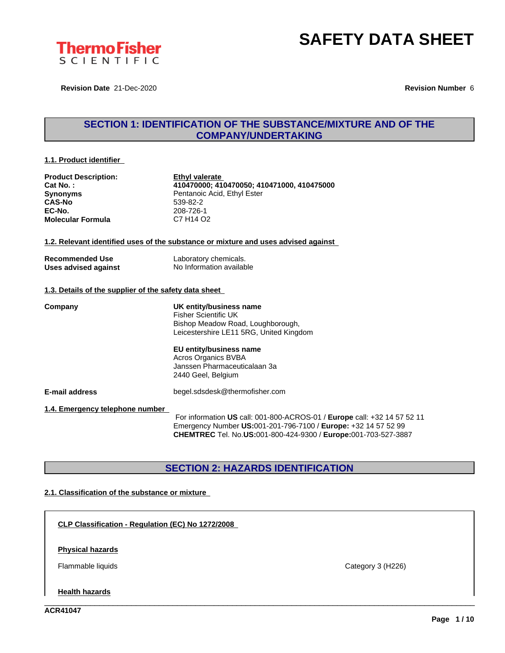

**Revision Date** 21-Dec-2020 **Revision Number** 6

### **SECTION 1: IDENTIFICATION OF THE SUBSTANCE/MIXTURE AND OF THE COMPANY/UNDERTAKING**

#### **1.1. Product identifier**

| <b>Product Description:</b> |
|-----------------------------|
| Cat No.:                    |
| <b>Synonyms</b>             |
| <b>CAS-No</b>               |
| EC-No.                      |
| <b>Molecular Formula</b>    |

**<u>Ethyl valerate</u> Cat No. : 410470000; 410470050; 410471000, 410475000** Pentanoic Acid, Ethyl Ester **CAS-No** 539-82-2 **EC-No.** 208-726-1 **Molecular Formula** C7 H14 O2

#### **1.2. Relevant identified uses of the substance or mixture and uses advised against**

| <b>Recommended Use</b> | Labc  |
|------------------------|-------|
| Uses advised against   | No Ir |

**Pratory chemicals. Uses advised against** No Information available

#### **1.3. Details of the supplier of the safety data sheet**

**Company UK entity/business name** Fisher Scientific UK Bishop Meadow Road, Loughborough, Leicestershire LE11 5RG, United Kingdom

#### **EU entity/business name** Acros Organics BVBA

Janssen Pharmaceuticalaan 3a 2440 Geel, Belgium

**E-mail address** begel.sdsdesk@thermofisher.com

**1.4. Emergency telephone number**

For information **US** call: 001-800-ACROS-01 / **Europe** call: +32 14 57 52 11 Emergency Number **US:**001-201-796-7100 / **Europe:** +32 14 57 52 99 **CHEMTREC** Tel. No.**US:**001-800-424-9300 / **Europe:**001-703-527-3887

\_\_\_\_\_\_\_\_\_\_\_\_\_\_\_\_\_\_\_\_\_\_\_\_\_\_\_\_\_\_\_\_\_\_\_\_\_\_\_\_\_\_\_\_\_\_\_\_\_\_\_\_\_\_\_\_\_\_\_\_\_\_\_\_\_\_\_\_\_\_\_\_\_\_\_\_\_\_\_\_\_\_\_\_\_\_\_\_\_\_\_\_\_\_

### **SECTION 2: HAZARDS IDENTIFICATION**

#### **2.1. Classification of the substance or mixture**

**CLP Classification - Regulation (EC) No 1272/2008**

**Physical hazards**

Flammable liquids Category 3 (H226)

**Health hazards**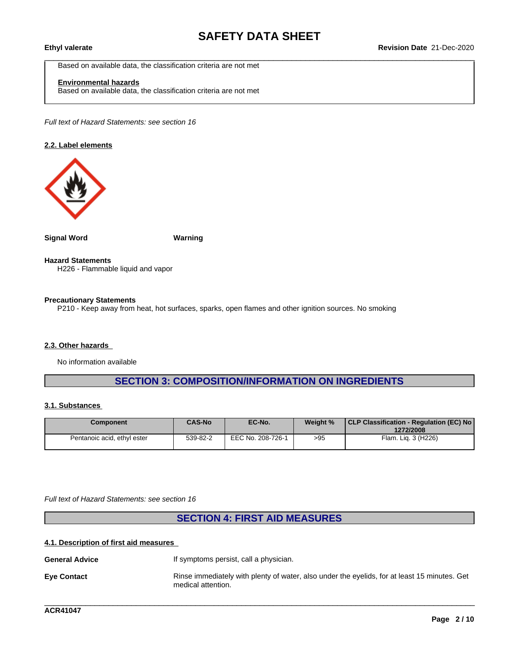Based on available data, the classification criteria are not met

### **Environmental hazards**

Based on available data, the classification criteria are not met

*Full text of Hazard Statements: see section 16*

#### **2.2. Label elements**



**Signal Word Warning**

**Hazard Statements** H226 - Flammable liquid and vapor

#### **Precautionary Statements**

P210 - Keep away from heat, hot surfaces, sparks, open flames and other ignition sources. No smoking

#### **2.3. Other hazards**

No information available

### **SECTION 3: COMPOSITION/INFORMATION ON INGREDIENTS**

#### **3.1. Substances**

| Component                   | <b>CAS-No</b> | EC-No.            | Weight % | CLP Classification - Regulation (EC) No<br>1272/2008 |
|-----------------------------|---------------|-------------------|----------|------------------------------------------------------|
| Pentanoic acid, ethyl ester | 539-82-2      | EEC No. 208-726-1 | >95      | Flam. Lig. 3 (H226)                                  |

*Full text of Hazard Statements: see section 16*

**SECTION 4: FIRST AID MEASURES**

#### **4.1. Description of first aid measures**

**General Advice If symptoms persist, call a physician. Eye Contact** Rinse immediately with plenty of water, also under the eyelids, for at least 15 minutes. Get medical attention.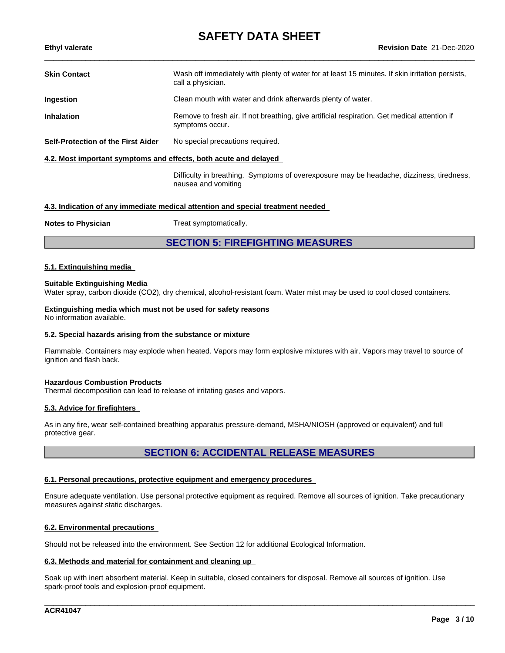| <b>Skin Contact</b>                                                             | Wash off immediately with plenty of water for at least 15 minutes. If skin irritation persists,<br>call a physician. |  |  |  |
|---------------------------------------------------------------------------------|----------------------------------------------------------------------------------------------------------------------|--|--|--|
| Ingestion                                                                       | Clean mouth with water and drink afterwards plenty of water.                                                         |  |  |  |
| <b>Inhalation</b>                                                               | Remove to fresh air. If not breathing, give artificial respiration. Get medical attention if<br>symptoms occur.      |  |  |  |
| Self-Protection of the First Aider                                              | No special precautions required.                                                                                     |  |  |  |
| 4.2. Most important symptoms and effects, both acute and delayed                |                                                                                                                      |  |  |  |
|                                                                                 | Difficulty in breathing. Symptoms of overexposure may be headache, dizziness, tiredness,<br>nausea and vomiting      |  |  |  |
| 4.3. Indication of any immediate medical attention and special treatment needed |                                                                                                                      |  |  |  |

**Notes to Physician** Treat symptomatically.

**SECTION 5: FIREFIGHTING MEASURES**

#### **5.1. Extinguishing media**

#### **Suitable Extinguishing Media**

Water spray, carbon dioxide (CO2), dry chemical, alcohol-resistant foam. Water mist may be used to cool closed containers.

**Extinguishing media which must not be used for safety reasons** No information available.

#### **5.2. Special hazards arising from the substance or mixture**

Flammable. Containers may explode when heated. Vapors may form explosive mixtures with air. Vapors may travel to source of ignition and flash back.

#### **Hazardous Combustion Products**

Thermal decomposition can lead to release of irritating gases and vapors.

#### **5.3. Advice for firefighters**

As in any fire, wear self-contained breathing apparatus pressure-demand, MSHA/NIOSH (approved or equivalent) and full protective gear.

### **SECTION 6: ACCIDENTAL RELEASE MEASURES**

#### **6.1. Personal precautions, protective equipment and emergency procedures**

Ensure adequate ventilation. Use personal protective equipment as required. Remove all sources of ignition. Take precautionary measures against static discharges.

#### **6.2. Environmental precautions**

Should not be released into the environment. See Section 12 for additional Ecological Information.

#### **6.3. Methods and material for containment and cleaning up**

Soak up with inert absorbent material. Keep in suitable, closed containers for disposal. Remove all sources of ignition. Use spark-proof tools and explosion-proof equipment.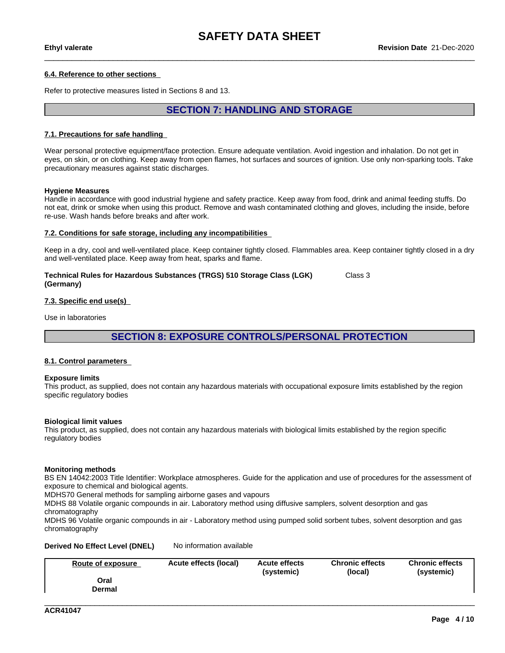#### **6.4. Reference to other sections**

Refer to protective measures listed in Sections 8 and 13.

### **SECTION 7: HANDLING AND STORAGE**

#### **7.1. Precautions for safe handling**

Wear personal protective equipment/face protection. Ensure adequate ventilation. Avoid ingestion and inhalation. Do not get in eyes, on skin, or on clothing. Keep away from open flames, hot surfaces and sources of ignition. Use only non-sparking tools. Take precautionary measures against static discharges.

#### **Hygiene Measures**

Handle in accordance with good industrial hygiene and safety practice. Keep away from food, drink and animal feeding stuffs. Do not eat, drink or smoke when using this product. Remove and wash contaminated clothing and gloves, including the inside, before re-use. Wash hands before breaks and after work.

#### **7.2. Conditions for safe storage, including any incompatibilities**

Keep in a dry, cool and well-ventilated place. Keep container tightly closed. Flammables area. Keep container tightly closed in a dry and well-ventilated place. Keep away from heat, sparks and flame.

**Technical Rules for Hazardous Substances (TRGS) 510 Storage Class (LGK) (Germany)** Class 3

#### **7.3. Specific end use(s)**

Use in laboratories

**SECTION 8: EXPOSURE CONTROLS/PERSONAL PROTECTION**

#### **8.1. Control parameters**

#### **Exposure limits**

This product, as supplied, does not contain any hazardous materials with occupational exposure limits established by the region specific regulatory bodies

#### **Biological limit values**

This product, as supplied, does not contain any hazardous materials with biological limits established by the region specific regulatory bodies

#### **Monitoring methods**

BS EN 14042:2003 Title Identifier: Workplace atmospheres. Guide for the application and use of procedures for the assessment of exposure to chemical and biological agents.

MDHS70 General methods for sampling airborne gases and vapours

MDHS 88 Volatile organic compounds in air. Laboratory method using diffusive samplers, solvent desorption and gas chromatography

MDHS 96 Volatile organic compounds in air - Laboratory method using pumped solid sorbent tubes, solvent desorption and gas chromatography

#### **Derived No Effect Level (DNEL)** No information available

| Route of exposure | Acute effects (local) | <b>Acute effects</b><br>(systemic) | <b>Chronic effects</b><br>(local) | <b>Chronic effects</b><br>(systemic) |  |
|-------------------|-----------------------|------------------------------------|-----------------------------------|--------------------------------------|--|
| Oral<br>Dermal    |                       |                                    |                                   |                                      |  |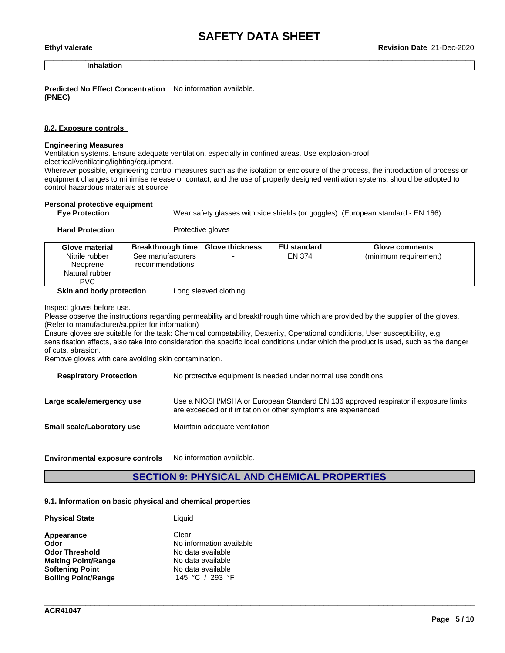**Inhalation**

**Predicted No Effect Concentration** No information available. **(PNEC)**

**Hand Protection** Protective gloves

#### **8.2. Exposure controls**

#### **Engineering Measures**

Ventilation systems. Ensure adequate ventilation, especially in confined areas. Use explosion-proof

electrical/ventilating/lighting/equipment.

Wherever possible, engineering control measures such as the isolation or enclosure of the process, the introduction of process or equipment changes to minimise release or contact, and the use of properly designed ventilation systems, should be adopted to control hazardous materials at source

| Wear safety glasses with side shields (or goggles) (European standard - EN 166) |
|---------------------------------------------------------------------------------|
|                                                                                 |

| .                          |                                          |                       |                    |                       |
|----------------------------|------------------------------------------|-----------------------|--------------------|-----------------------|
| Glove material             | <b>Breakthrough time Glove thickness</b> |                       | <b>EU standard</b> | Glove comments        |
| Nitrile rubber<br>Neoprene | See manufacturers<br>recommendations     |                       | EN 374             | (minimum requirement) |
| Natural rubber<br>PVC.     |                                          |                       |                    |                       |
| Skin and body protection   |                                          | Long sleeved clothing |                    |                       |

Inspect gloves before use.

Please observe the instructions regarding permeability and breakthrough time which are provided by the supplier of the gloves. (Refer to manufacturer/supplier for information)

Ensure gloves are suitable for the task: Chemical compatability, Dexterity, Operational conditions, User susceptibility, e.g. sensitisation effects, also take into consideration the specific local conditions under which the product is used, such as the danger of cuts, abrasion.

Remove gloves with care avoiding skin contamination.

| <b>Respiratory Protection</b> | No protective equipment is needed under normal use conditions.                                                                                         |
|-------------------------------|--------------------------------------------------------------------------------------------------------------------------------------------------------|
| Large scale/emergency use     | Use a NIOSH/MSHA or European Standard EN 136 approved respirator if exposure limits<br>are exceeded or if irritation or other symptoms are experienced |
| Small scale/Laboratory use    | Maintain adequate ventilation                                                                                                                          |

**Environmental exposure controls** No information available.

### **SECTION 9: PHYSICAL AND CHEMICAL PROPERTIES**

\_\_\_\_\_\_\_\_\_\_\_\_\_\_\_\_\_\_\_\_\_\_\_\_\_\_\_\_\_\_\_\_\_\_\_\_\_\_\_\_\_\_\_\_\_\_\_\_\_\_\_\_\_\_\_\_\_\_\_\_\_\_\_\_\_\_\_\_\_\_\_\_\_\_\_\_\_\_\_\_\_\_\_\_\_\_\_\_\_\_\_\_\_\_

#### **9.1. Information on basic physical and chemical properties**

| Liauid                   |
|--------------------------|
| Clear                    |
| No information available |
| No data available        |
| No data available        |
| No data available        |
| 145 °C / 293 °F          |
|                          |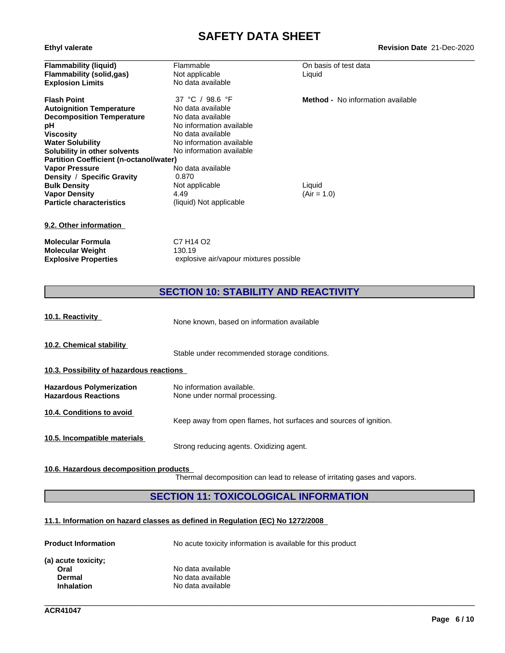| <b>Ethyl valerate</b>                          |                          | <b>Revision Date 21-Dec-2020</b>         |  |  |
|------------------------------------------------|--------------------------|------------------------------------------|--|--|
| <b>Flammability (liquid)</b>                   | Flammable                | On basis of test data                    |  |  |
| Flammability (solid,gas)                       | Not applicable           | Liquid                                   |  |  |
| <b>Explosion Limits</b>                        | No data available        |                                          |  |  |
| <b>Flash Point</b>                             | 37 °C / 98.6 °F          | <b>Method -</b> No information available |  |  |
| <b>Autoignition Temperature</b>                | No data available        |                                          |  |  |
| <b>Decomposition Temperature</b>               | No data available        |                                          |  |  |
| рH                                             | No information available |                                          |  |  |
| Viscosity                                      | No data available        |                                          |  |  |
| <b>Water Solubility</b>                        | No information available |                                          |  |  |
| Solubility in other solvents                   | No information available |                                          |  |  |
| <b>Partition Coefficient (n-octanol/water)</b> |                          |                                          |  |  |
| <b>Vapor Pressure</b>                          | No data available        |                                          |  |  |
| Density / Specific Gravity                     | 0.870                    |                                          |  |  |
| <b>Bulk Density</b>                            | Not applicable           | Liquid                                   |  |  |
| <b>Vapor Density</b>                           | 4.49                     | $(Air = 1.0)$                            |  |  |
| <b>Particle characteristics</b>                | (liquid) Not applicable  |                                          |  |  |
| 9.2. Other information                         |                          |                                          |  |  |

**Molecular Formula** C7 H14 O2<br>**Molecular Weight** 130.19 **Molecular Weight<br>Explosive Properties** explosive air/vapour mixtures possible

**SECTION 10: STABILITY AND REACTIVITY**

| 10.1. Reactivity                                              | None known, based on information available                        |  |  |  |  |  |  |
|---------------------------------------------------------------|-------------------------------------------------------------------|--|--|--|--|--|--|
| 10.2. Chemical stability                                      | Stable under recommended storage conditions.                      |  |  |  |  |  |  |
|                                                               | 10.3. Possibility of hazardous reactions                          |  |  |  |  |  |  |
| <b>Hazardous Polymerization</b><br><b>Hazardous Reactions</b> | No information available.<br>None under normal processing.        |  |  |  |  |  |  |
| 10.4. Conditions to avoid                                     | Keep away from open flames, hot surfaces and sources of ignition. |  |  |  |  |  |  |
| 10.5. Incompatible materials                                  | Strong reducing agents. Oxidizing agent.                          |  |  |  |  |  |  |

#### **10.6. Hazardous decomposition products**

Thermal decomposition can lead to release of irritating gases and vapors.

\_\_\_\_\_\_\_\_\_\_\_\_\_\_\_\_\_\_\_\_\_\_\_\_\_\_\_\_\_\_\_\_\_\_\_\_\_\_\_\_\_\_\_\_\_\_\_\_\_\_\_\_\_\_\_\_\_\_\_\_\_\_\_\_\_\_\_\_\_\_\_\_\_\_\_\_\_\_\_\_\_\_\_\_\_\_\_\_\_\_\_\_\_\_

### **SECTION 11: TOXICOLOGICAL INFORMATION**

#### **11.1. Information on hazard classes as defined in Regulation (EC) No 1272/2008**

| No acute toxicity information is available for this product |  |  |
|-------------------------------------------------------------|--|--|
|                                                             |  |  |
| No data available                                           |  |  |
| No data available                                           |  |  |
| No data available                                           |  |  |
|                                                             |  |  |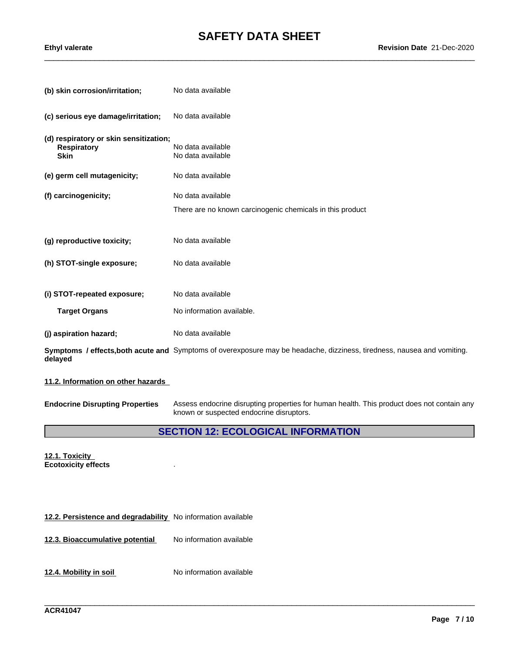| (b) skin corrosion/irritation;                                              | No data available                                                                                                       |
|-----------------------------------------------------------------------------|-------------------------------------------------------------------------------------------------------------------------|
| (c) serious eye damage/irritation;                                          | No data available                                                                                                       |
| (d) respiratory or skin sensitization;<br><b>Respiratory</b><br><b>Skin</b> | No data available<br>No data available                                                                                  |
| (e) germ cell mutagenicity;                                                 | No data available                                                                                                       |
| (f) carcinogenicity;                                                        | No data available                                                                                                       |
|                                                                             | There are no known carcinogenic chemicals in this product                                                               |
|                                                                             |                                                                                                                         |
| (g) reproductive toxicity;                                                  | No data available                                                                                                       |
| (h) STOT-single exposure;                                                   | No data available                                                                                                       |
|                                                                             |                                                                                                                         |
| (i) STOT-repeated exposure;                                                 | No data available                                                                                                       |
| <b>Target Organs</b>                                                        | No information available.                                                                                               |
| (j) aspiration hazard;                                                      | No data available                                                                                                       |
| delayed                                                                     | Symptoms / effects, both acute and Symptoms of overexposure may be headache, dizziness, tiredness, nausea and vomiting. |
|                                                                             |                                                                                                                         |

**11.2. Information on other hazards**

**Endocrine Disrupting Properties** Assess endocrine disrupting properties for human health. This product does not contain any known or suspected endocrine disruptors.

### **SECTION 12: ECOLOGICAL INFORMATION**

\_\_\_\_\_\_\_\_\_\_\_\_\_\_\_\_\_\_\_\_\_\_\_\_\_\_\_\_\_\_\_\_\_\_\_\_\_\_\_\_\_\_\_\_\_\_\_\_\_\_\_\_\_\_\_\_\_\_\_\_\_\_\_\_\_\_\_\_\_\_\_\_\_\_\_\_\_\_\_\_\_\_\_\_\_\_\_\_\_\_\_\_\_\_

**12.1. Toxicity Ecotoxicity effects** .

**12.2. Persistence and degradability** No information available

**12.3. Bioaccumulative potential** No information available

**12.4. Mobility in soil** No information available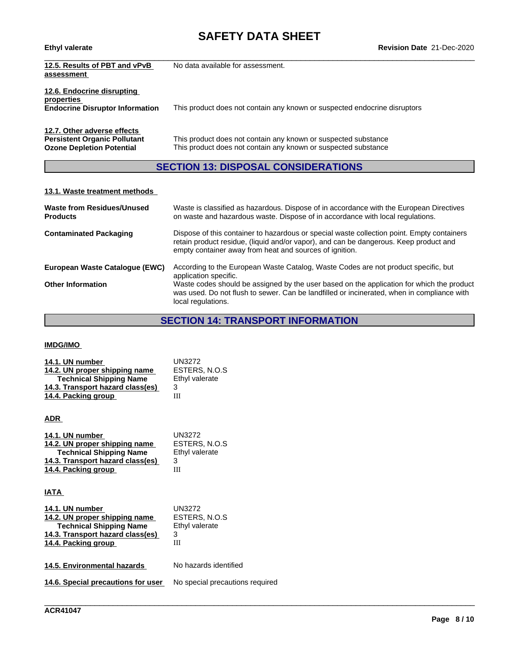# **SAFETY DATA SHEET**<br>Revision Date 21-Dec-2020

| <b>Ethyl valerate</b>                                                                                  | <b>Revision Date 21-Dec-2020</b>                                                                                                 |
|--------------------------------------------------------------------------------------------------------|----------------------------------------------------------------------------------------------------------------------------------|
| 12.5. Results of PBT and vPvB<br>assessment                                                            | No data available for assessment.                                                                                                |
| 12.6. Endocrine disrupting<br>properties<br><b>Endocrine Disruptor Information</b>                     | This product does not contain any known or suspected endocrine disruptors                                                        |
| 12.7. Other adverse effects<br><b>Persistent Organic Pollutant</b><br><b>Ozone Depletion Potential</b> | This product does not contain any known or suspected substance<br>This product does not contain any known or suspected substance |

### **SECTION 13: DISPOSAL CONSIDERATIONS**

#### **13.1. Waste treatment methods**

| <b>Waste from Residues/Unused</b><br><b>Products</b> | Waste is classified as hazardous. Dispose of in accordance with the European Directives<br>on waste and hazardous waste. Dispose of in accordance with local regulations.                                                                      |
|------------------------------------------------------|------------------------------------------------------------------------------------------------------------------------------------------------------------------------------------------------------------------------------------------------|
| <b>Contaminated Packaging</b>                        | Dispose of this container to hazardous or special waste collection point. Empty containers<br>retain product residue, (liquid and/or vapor), and can be dangerous. Keep product and<br>empty container away from heat and sources of ignition. |
| European Waste Catalogue (EWC)                       | According to the European Waste Catalog, Waste Codes are not product specific, but<br>application specific.                                                                                                                                    |
| <b>Other Information</b>                             | Waste codes should be assigned by the user based on the application for which the product<br>was used. Do not flush to sewer. Can be landfilled or incinerated, when in compliance with<br>local regulations.                                  |

### **SECTION 14: TRANSPORT INFORMATION**

### **IMDG/IMO**

| 14.1. UN number                  | UN3272         |
|----------------------------------|----------------|
| 14.2. UN proper shipping name    | ESTERS, N.O.S  |
| <b>Technical Shipping Name</b>   | Ethyl valerate |
| 14.3. Transport hazard class(es) |                |
| 14.4. Packing group              | Ш              |

#### **ADR**

| 14.1. UN number                  | UN3272         |
|----------------------------------|----------------|
| 14.2. UN proper shipping name    | ESTERS, N.O.S  |
| <b>Technical Shipping Name</b>   | Ethyl valerate |
| 14.3. Transport hazard class(es) |                |
| 14.4. Packing group              | Ш              |

#### **IATA**

| 14.1. UN number                  | UN3272                |
|----------------------------------|-----------------------|
| 14.2. UN proper shipping name    | ESTERS, N.O.S         |
| <b>Technical Shipping Name</b>   | Ethyl valerate        |
| 14.3. Transport hazard class(es) | З                     |
| 14.4. Packing group              | Ш                     |
|                                  |                       |
| 14.5. Environmental hazards      | No hazards identified |

**14.6. Special precautions for user** No special precautions required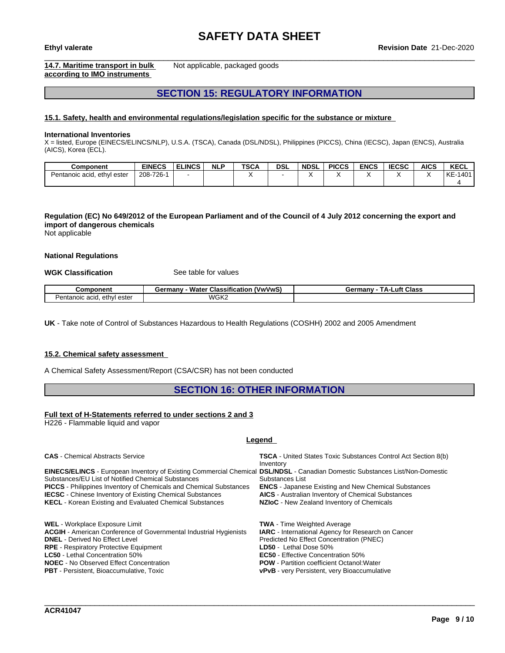#### **14.7. Maritime transport in bulk according to IMO instruments**

Not applicable, packaged goods

### **SECTION 15: REGULATORY INFORMATION**

#### **15.1. Safety, health and environmental regulations/legislation specific for the substance or mixture**

#### **International Inventories**

X = listed, Europe (EINECS/ELINCS/NLP), U.S.A. (TSCA), Canada (DSL/NDSL), Philippines (PICCS), China (IECSC), Japan (ENCS), Australia (AICS), Korea (ECL).

| Component                        | <b>EINECS</b>   | <b>ELINCS</b> | <b>NLP</b> | <b>TSCA</b> | DSL | <b>NDSL</b> | <b>PICCS</b> | <b>ENCS</b> | rrcon<br>:656 | <b>AICS</b> | <b>KECL</b>            |
|----------------------------------|-----------------|---------------|------------|-------------|-----|-------------|--------------|-------------|---------------|-------------|------------------------|
| Pentanoic acid,<br>ester<br>eth\ | $-726-$<br>208- |               |            |             |     |             |              |             |               |             | 140 <sup>1</sup><br>KE |
|                                  |                 |               |            |             |     |             |              |             |               |             |                        |

### Regulation (EC) No 649/2012 of the European Parliament and of the Council of 4 July 2012 concerning the export and **import of dangerous chemicals**

Not applicable

#### **National Regulations**

**WGK Classification** See table for values

| `omponent                                  | <br>Water<br>wwws,<br>Germanv<br>Classification | _uft<br>Class<br>Germany<br>. д., |
|--------------------------------------------|-------------------------------------------------|-----------------------------------|
| ethvl<br>. ester<br>'entanoıc acıd.<br>مصد | WGK2                                            |                                   |

**UK** - Take note of Control of Substances Hazardous to Health Regulations (COSHH) 2002 and 2005 Amendment

#### **15.2. Chemical safety assessment**

A Chemical Safety Assessment/Report (CSA/CSR) has not been conducted

### **SECTION 16: OTHER INFORMATION**

#### **Full text of H-Statements referred to undersections 2 and 3**

H226 - Flammable liquid and vapor

#### **Legend**

| <b>CAS</b> - Chemical Abstracts Service                                                                                             | <b>TSCA</b> - United States Toxic Substances Control Act Section 8(b) |
|-------------------------------------------------------------------------------------------------------------------------------------|-----------------------------------------------------------------------|
|                                                                                                                                     | Inventory                                                             |
| <b>EINECS/ELINCS</b> - European Inventory of Existing Commercial Chemical DSL/NDSL - Canadian Domestic Substances List/Non-Domestic |                                                                       |
| Substances/EU List of Notified Chemical Substances                                                                                  | Substances List                                                       |
| <b>PICCS</b> - Philippines Inventory of Chemicals and Chemical Substances                                                           | <b>ENCS</b> - Japanese Existing and New Chemical Substances           |
| <b>IECSC</b> - Chinese Inventory of Existing Chemical Substances                                                                    | <b>AICS</b> - Australian Inventory of Chemical Substances             |
| <b>KECL</b> - Korean Existing and Evaluated Chemical Substances                                                                     | NZIoC - New Zealand Inventory of Chemicals                            |
|                                                                                                                                     |                                                                       |
| <b>WEL</b> - Workplace Exposure Limit                                                                                               | <b>TWA</b> - Time Weighted Average                                    |
| <b>ACGIH</b> - American Conference of Governmental Industrial Hygienists                                                            | <b>IARC</b> - International Agency for Research on Cancer             |
| <b>DNEL</b> - Derived No Effect Level                                                                                               | Predicted No Effect Concentration (PNEC)                              |
| <b>RPE</b> - Respiratory Protective Equipment                                                                                       | LD50 - Lethal Dose 50%                                                |
| <b>LC50</b> - Lethal Concentration 50%                                                                                              | <b>EC50</b> - Effective Concentration 50%                             |
| <b>NOEC</b> - No Observed Effect Concentration                                                                                      | <b>POW</b> - Partition coefficient Octanol: Water                     |
| <b>PBT</b> - Persistent, Bioaccumulative, Toxic                                                                                     | <b>vPvB</b> - very Persistent, very Bioaccumulative                   |